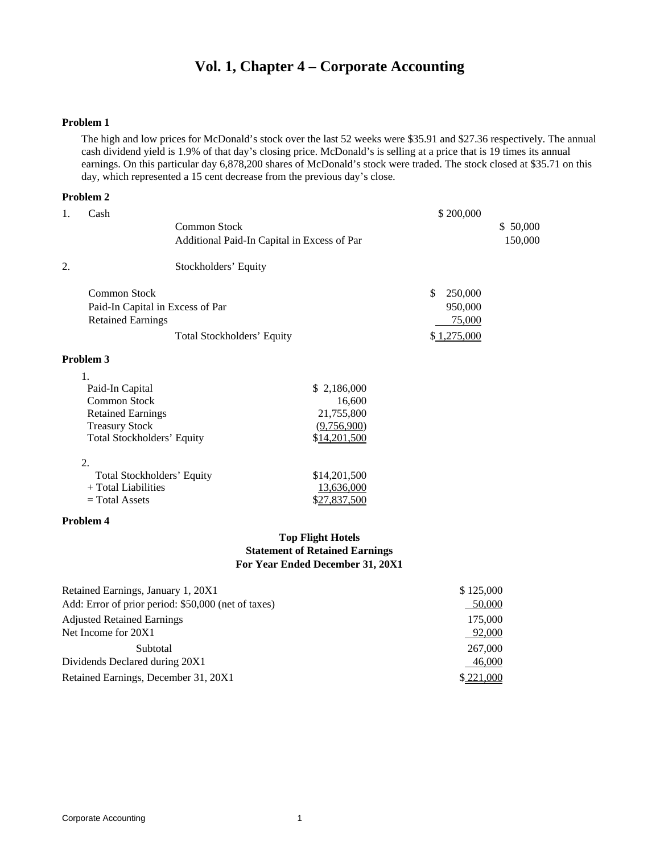# **Vol. 1, Chapter 4 – Corporate Accounting**

### **Problem 1**

The high and low prices for McDonald's stock over the last 52 weeks were \$35.91 and \$27.36 respectively. The annual cash dividend yield is 1.9% of that day's closing price. McDonald's is selling at a price that is 19 times its annual earnings. On this particular day 6,878,200 shares of McDonald's stock were traded. The stock closed at \$35.71 on this day, which represented a 15 cent decrease from the previous day's close.

### **Problem 2**

| 1. | Cash                              |                                             |              | \$200,000      |          |
|----|-----------------------------------|---------------------------------------------|--------------|----------------|----------|
|    |                                   | <b>Common Stock</b>                         |              |                | \$50,000 |
|    |                                   | Additional Paid-In Capital in Excess of Par |              |                | 150,000  |
| 2. |                                   | Stockholders' Equity                        |              |                |          |
|    | <b>Common Stock</b>               |                                             |              | \$.<br>250,000 |          |
|    | Paid-In Capital in Excess of Par  |                                             |              | 950,000        |          |
|    | <b>Retained Earnings</b>          |                                             |              | 75,000         |          |
|    |                                   | Total Stockholders' Equity                  |              | \$1,275,000    |          |
|    | Problem 3                         |                                             |              |                |          |
|    | 1.                                |                                             |              |                |          |
|    | Paid-In Capital                   |                                             | \$2,186,000  |                |          |
|    | Common Stock                      |                                             | 16,600       |                |          |
|    | <b>Retained Earnings</b>          |                                             | 21,755,800   |                |          |
|    | <b>Treasury Stock</b>             |                                             | (9,756,900)  |                |          |
|    | <b>Total Stockholders' Equity</b> |                                             | \$14,201,500 |                |          |
|    | 2.                                |                                             |              |                |          |
|    | <b>Total Stockholders' Equity</b> |                                             | \$14,201,500 |                |          |
|    | + Total Liabilities               |                                             | 13,636,000   |                |          |
|    | $=$ Total Assets                  |                                             | \$27,837,500 |                |          |

### **Problem 4**

### **Top Flight Hotels Statement of Retained Earnings For Year Ended December 31, 20X1**

| Retained Earnings, January 1, 20X1                  | \$125,000 |
|-----------------------------------------------------|-----------|
| Add: Error of prior period: \$50,000 (net of taxes) | 50,000    |
| <b>Adjusted Retained Earnings</b>                   | 175,000   |
| Net Income for 20X1                                 | 92,000    |
| Subtotal                                            | 267,000   |
| Dividends Declared during 20X1                      | 46,000    |
| Retained Earnings, December 31, 20X1                | \$221,000 |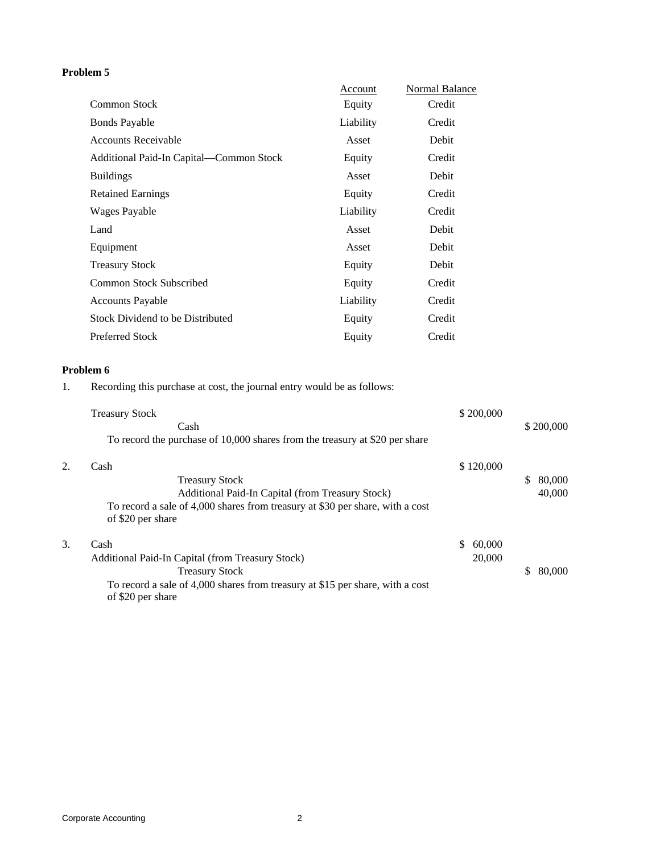# **Problem 5**

|                                         | Account   | Normal Balance |
|-----------------------------------------|-----------|----------------|
| <b>Common Stock</b>                     | Equity    | Credit         |
| <b>Bonds Payable</b>                    | Liability | Credit         |
| <b>Accounts Receivable</b>              | Asset     | Debit          |
| Additional Paid-In Capital—Common Stock | Equity    | Credit         |
| <b>Buildings</b>                        | Asset     | Debit          |
| <b>Retained Earnings</b>                | Equity    | Credit         |
| Wages Payable                           | Liability | Credit         |
| Land                                    | Asset     | Debit          |
| Equipment                               | Asset     | Debit          |
| <b>Treasury Stock</b>                   | Equity    | Debit          |
| Common Stock Subscribed                 | Equity    | Credit         |
| <b>Accounts Payable</b>                 | Liability | Credit         |
| Stock Dividend to be Distributed        | Equity    | Credit         |
| Preferred Stock                         | Equity    | Credit         |

# **Problem 6**

1. Recording this purchase at cost, the journal entry would be as follows:

|    | <b>Treasury Stock</b><br>Cash                                                                                                                                                           |    | \$200,000        |    | \$200,000        |
|----|-----------------------------------------------------------------------------------------------------------------------------------------------------------------------------------------|----|------------------|----|------------------|
|    | To record the purchase of 10,000 shares from the treasury at \$20 per share                                                                                                             |    |                  |    |                  |
|    | Cash<br><b>Treasury Stock</b><br>Additional Paid-In Capital (from Treasury Stock)<br>To record a sale of 4,000 shares from treasury at \$30 per share, with a cost<br>of \$20 per share |    | \$120,000        | S  | 80,000<br>40,000 |
| 3. | Cash<br>Additional Paid-In Capital (from Treasury Stock)<br><b>Treasury Stock</b><br>To record a sale of 4,000 shares from treasury at \$15 per share, with a cost<br>of \$20 per share | S. | 60,000<br>20,000 | \$ | 80,000           |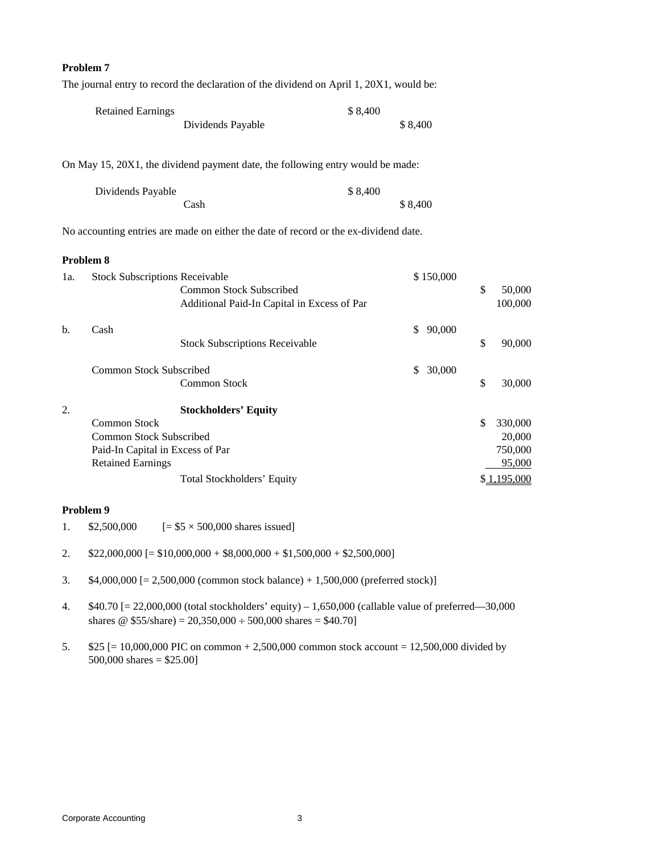### **Problem 7**

The journal entry to record the declaration of the dividend on April 1, 20X1, would be:

| <b>Retained Earnings</b> |                   | \$8,400 |         |
|--------------------------|-------------------|---------|---------|
|                          | Dividends Payable |         | \$8.400 |

On May 15, 20X1, the dividend payment date, the following entry would be made:

| Dividends Payable | \$8,400 |
|-------------------|---------|
| Cash              | \$8,400 |

No accounting entries are made on either the date of record or the ex-dividend date.

#### **Problem 8**

| 1a. | <b>Stock Subscriptions Receivable</b> |                                             |    | \$150,000 |               |
|-----|---------------------------------------|---------------------------------------------|----|-----------|---------------|
|     |                                       | Common Stock Subscribed                     |    |           | \$<br>50,000  |
|     |                                       | Additional Paid-In Capital in Excess of Par |    |           | 100,000       |
| $b$ | Cash                                  |                                             | S. | 90,000    |               |
|     |                                       | <b>Stock Subscriptions Receivable</b>       |    |           | \$<br>90,000  |
|     | Common Stock Subscribed               |                                             | \$ | 30,000    |               |
|     |                                       | Common Stock                                |    |           | \$<br>30,000  |
| 2.  |                                       | <b>Stockholders' Equity</b>                 |    |           |               |
|     | <b>Common Stock</b>                   |                                             |    |           | \$<br>330,000 |
|     | <b>Common Stock Subscribed</b>        |                                             |    |           | 20,000        |
|     | Paid-In Capital in Excess of Par      |                                             |    |           | 750,000       |
|     | <b>Retained Earnings</b>              |                                             |    |           | 95,000        |
|     |                                       | Total Stockholders' Equity                  |    |           | \$1,195,000   |

## **Problem 9**

- 1.  $$2,500,000$   $[= $5 \times 500,000$  shares issued]
- 2.  $$22,000,000$  [= \$10,000,000 + \$8,000,000 + \$1,500,000 + \$2,500,000]
- 3. \$4,000,000 [= 2,500,000 (common stock balance) + 1,500,000 (preferred stock)]
- 4. \$40.70 [= 22,000,000 (total stockholders' equity) 1,650,000 (callable value of preferred—30,000 shares @  $$55/s$ hare) = 20,350,000 ÷ 500,000 shares = \$40.70]
- 5. \$25 [= 10,000,000 PIC on common + 2,500,000 common stock account = 12,500,000 divided by 500,000 shares = \$25.00]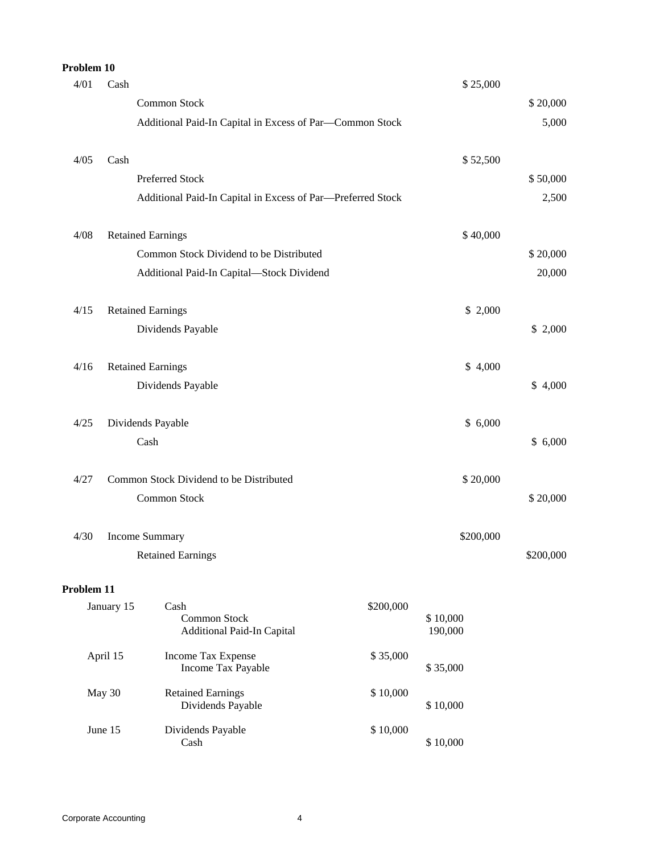| Problem 10 |            |                                                             |           |                     |           |
|------------|------------|-------------------------------------------------------------|-----------|---------------------|-----------|
| 4/01       | Cash       |                                                             |           | \$25,000            |           |
|            |            | Common Stock                                                |           |                     | \$20,000  |
|            |            | Additional Paid-In Capital in Excess of Par-Common Stock    |           |                     | 5,000     |
| 4/05       | Cash       |                                                             |           | \$52,500            |           |
|            |            | Preferred Stock                                             |           |                     | \$50,000  |
|            |            | Additional Paid-In Capital in Excess of Par-Preferred Stock |           |                     | 2,500     |
| 4/08       |            | <b>Retained Earnings</b>                                    |           | \$40,000            |           |
|            |            | Common Stock Dividend to be Distributed                     |           |                     | \$20,000  |
|            |            | Additional Paid-In Capital-Stock Dividend                   |           |                     | 20,000    |
| 4/15       |            | <b>Retained Earnings</b>                                    |           | \$2,000             |           |
|            |            | Dividends Payable                                           |           |                     | \$2,000   |
| 4/16       |            | <b>Retained Earnings</b>                                    |           | \$4,000             |           |
|            |            | Dividends Payable                                           |           |                     | \$4,000   |
| 4/25       |            | Dividends Payable                                           |           | \$6,000             |           |
|            |            | Cash                                                        |           |                     | \$6,000   |
| 4/27       |            | Common Stock Dividend to be Distributed                     |           | \$20,000            |           |
|            |            | Common Stock                                                |           |                     | \$20,000  |
| 4/30       |            | <b>Income Summary</b>                                       |           | \$200,000           |           |
|            |            | <b>Retained Earnings</b>                                    |           |                     | \$200,000 |
| Problem 11 |            |                                                             |           |                     |           |
|            | January 15 | Cash<br>Common Stock<br>Additional Paid-In Capital          | \$200,000 | \$10,000<br>190,000 |           |
|            | April 15   | Income Tax Expense<br>Income Tax Payable                    | \$35,000  | \$35,000            |           |
|            | May 30     | <b>Retained Earnings</b><br>Dividends Payable               | \$10,000  | \$10,000            |           |
|            | June 15    | Dividends Payable<br>Cash                                   | \$10,000  | \$10,000            |           |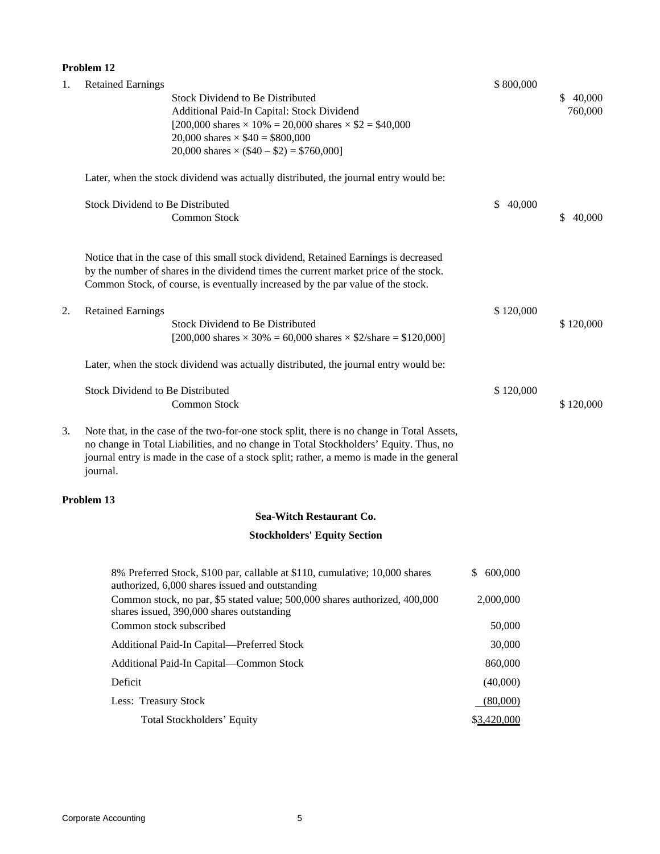|    | Problem 12                                                                                                                                                                                                                                                                                   |                            |                     |  |  |
|----|----------------------------------------------------------------------------------------------------------------------------------------------------------------------------------------------------------------------------------------------------------------------------------------------|----------------------------|---------------------|--|--|
| 1. | <b>Retained Earnings</b><br><b>Stock Dividend to Be Distributed</b><br>Additional Paid-In Capital: Stock Dividend<br>[200,000 shares $\times$ 10% = 20,000 shares $\times$ \$2 = \$40,000<br>20,000 shares $\times$ \$40 = \$800,000<br>20,000 shares $\times$ (\$40 – \$2) = \$760,000]     | \$800,000                  | \$40,000<br>760,000 |  |  |
|    | Later, when the stock dividend was actually distributed, the journal entry would be:                                                                                                                                                                                                         |                            |                     |  |  |
|    | <b>Stock Dividend to Be Distributed</b><br><b>Common Stock</b>                                                                                                                                                                                                                               | \$<br>40,000               | 40,000<br>S.        |  |  |
|    | Notice that in the case of this small stock dividend, Retained Earnings is decreased<br>by the number of shares in the dividend times the current market price of the stock.<br>Common Stock, of course, is eventually increased by the par value of the stock.                              |                            |                     |  |  |
| 2. | <b>Retained Earnings</b><br>Stock Dividend to Be Distributed<br>[200,000 shares $\times$ 30% = 60,000 shares $\times$ \$2/share = \$120,000]                                                                                                                                                 | \$120,000                  | \$120,000           |  |  |
|    | Later, when the stock dividend was actually distributed, the journal entry would be:                                                                                                                                                                                                         |                            |                     |  |  |
|    | <b>Stock Dividend to Be Distributed</b><br>Common Stock                                                                                                                                                                                                                                      | \$120,000                  | \$120,000           |  |  |
| 3. | Note that, in the case of the two-for-one stock split, there is no change in Total Assets,<br>no change in Total Liabilities, and no change in Total Stockholders' Equity. Thus, no<br>journal entry is made in the case of a stock split; rather, a memo is made in the general<br>journal. |                            |                     |  |  |
|    | Problem 13                                                                                                                                                                                                                                                                                   |                            |                     |  |  |
|    | Sea-Witch Restaurant Co.                                                                                                                                                                                                                                                                     |                            |                     |  |  |
|    | <b>Stockholders' Equity Section</b>                                                                                                                                                                                                                                                          |                            |                     |  |  |
|    | 8% Preferred Stock, \$100 par, callable at \$110, cumulative; 10,000 shares<br>authorized, 6,000 shares issued and outstanding<br>Common stock, no par, \$5 stated value; 500,000 shares authorized, 400,000<br>shares issued, 390,000 shares outstanding                                    | 600,000<br>\$<br>2,000,000 |                     |  |  |
|    | Common stock subscribed                                                                                                                                                                                                                                                                      | 50,000                     |                     |  |  |
|    | Additional Paid-In Capital-Preferred Stock                                                                                                                                                                                                                                                   | 30,000                     |                     |  |  |

| Auditional Faiu-III Capital—Freiericu Stock | <b>JU.UU</b> |
|---------------------------------------------|--------------|
| Additional Paid-In Capital—Common Stock     | 860,000      |
| Deficit                                     | (40,000)     |
| Less: Treasury Stock                        | (80,000)     |
| Total Stockholders' Equity                  | \$3,420,000  |